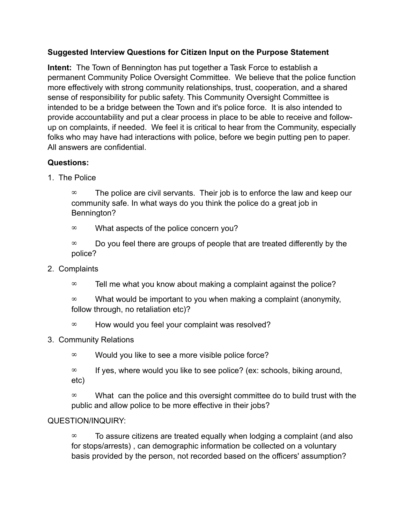## **Suggested Interview Questions for Citizen Input on the Purpose Statement**

**Intent:** The Town of Bennington has put together a Task Force to establish a permanent Community Police Oversight Committee. We believe that the police function more effectively with strong community relationships, trust, cooperation, and a shared sense of responsibility for public safety. This Community Oversight Committee is intended to be a bridge between the Town and it's police force. It is also intended to provide accountability and put a clear process in place to be able to receive and followup on complaints, if needed. We feel it is critical to hear from the Community, especially folks who may have had interactions with police, before we begin putting pen to paper. All answers are confidential.

## **Questions:**

1. The Police

 $\infty$  The police are civil servants. Their job is to enforce the law and keep our community safe. In what ways do you think the police do a great job in Bennington?

- $\infty$  What aspects of the police concern you?
- $\infty$  Do you feel there are groups of people that are treated differently by the police?
- 2. Complaints
	- $\infty$  Tell me what you know about making a complaint against the police?

 $\infty$  What would be important to you when making a complaint (anonymity, follow through, no retaliation etc)?

 $\infty$  How would you feel your complaint was resolved?

## 3. Community Relations

 $\infty$  Would you like to see a more visible police force?

 $\infty$  If yes, where would you like to see police? (ex: schools, biking around, etc)

 $\infty$  What can the police and this oversight committee do to build trust with the public and allow police to be more effective in their jobs?

## QUESTION/INQUIRY:

 $\infty$  To assure citizens are treated equally when lodging a complaint (and also for stops/arrests) , can demographic information be collected on a voluntary basis provided by the person, not recorded based on the officers' assumption?